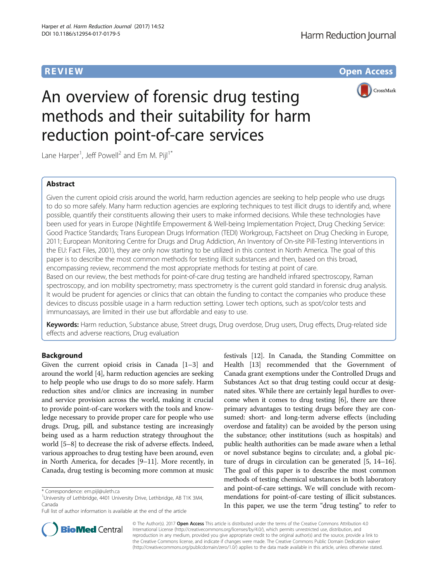**REVIEW CONSTRUCTION CONSTRUCTION CONSTRUCTS** 



# An overview of forensic drug testing methods and their suitability for harm reduction point-of-care services

Lane Harper<sup>1</sup>, Jeff Powell<sup>2</sup> and Em M. Pijl<sup>1\*</sup>

# Abstract

Given the current opioid crisis around the world, harm reduction agencies are seeking to help people who use drugs to do so more safely. Many harm reduction agencies are exploring techniques to test illicit drugs to identify and, where possible, quantify their constituents allowing their users to make informed decisions. While these technologies have been used for years in Europe (Nightlife Empowerment & Well-being Implementation Project, Drug Checking Service: Good Practice Standards; Trans European Drugs Information (TEDI) Workgroup, Factsheet on Drug Checking in Europe, 2011; European Monitoring Centre for Drugs and Drug Addiction, An Inventory of On-site Pill-Testing Interventions in the EU: Fact Files, 2001), they are only now starting to be utilized in this context in North America. The goal of this paper is to describe the most common methods for testing illicit substances and then, based on this broad, encompassing review, recommend the most appropriate methods for testing at point of care.

Based on our review, the best methods for point-of-care drug testing are handheld infrared spectroscopy, Raman spectroscopy, and ion mobility spectrometry; mass spectrometry is the current gold standard in forensic drug analysis. It would be prudent for agencies or clinics that can obtain the funding to contact the companies who produce these devices to discuss possible usage in a harm reduction setting. Lower tech options, such as spot/color tests and immunoassays, are limited in their use but affordable and easy to use.

Keywords: Harm reduction, Substance abuse, Street drugs, Drug overdose, Drug users, Drug effects, Drug-related side effects and adverse reactions, Drug evaluation

### Background

Given the current opioid crisis in Canada [\[1](#page-11-0)–[3\]](#page-11-0) and around the world [\[4](#page-12-0)], harm reduction agencies are seeking to help people who use drugs to do so more safely. Harm reduction sites and/or clinics are increasing in number and service provision across the world, making it crucial to provide point-of-care workers with the tools and knowledge necessary to provide proper care for people who use drugs. Drug, pill, and substance testing are increasingly being used as a harm reduction strategy throughout the world [[5](#page-12-0)–[8](#page-12-0)] to decrease the risk of adverse effects. Indeed, various approaches to drug testing have been around, even in North America, for decades [\[9](#page-12-0)–[11](#page-12-0)]. More recently, in Canada, drug testing is becoming more common at music

festivals [[12\]](#page-12-0). In Canada, the Standing Committee on Health [\[13](#page-12-0)] recommended that the Government of Canada grant exemptions under the Controlled Drugs and Substances Act so that drug testing could occur at designated sites. While there are certainly legal hurdles to overcome when it comes to drug testing [\[6](#page-12-0)], there are three primary advantages to testing drugs before they are consumed: short- and long-term adverse effects (including overdose and fatality) can be avoided by the person using the substance; other institutions (such as hospitals) and public health authorities can be made aware when a lethal or novel substance begins to circulate; and, a global picture of drugs in circulation can be generated [\[5](#page-12-0), [14](#page-12-0)–[16](#page-12-0)]. The goal of this paper is to describe the most common methods of testing chemical substances in both laboratory and point-of-care settings. We will conclude with recommendations for point-of-care testing of illicit substances. In this paper, we use the term "drug testing" to refer to



© The Author(s). 2017 **Open Access** This article is distributed under the terms of the Creative Commons Attribution 4.0 International License [\(http://creativecommons.org/licenses/by/4.0/](http://creativecommons.org/licenses/by/4.0/)), which permits unrestricted use, distribution, and reproduction in any medium, provided you give appropriate credit to the original author(s) and the source, provide a link to the Creative Commons license, and indicate if changes were made. The Creative Commons Public Domain Dedication waiver [\(http://creativecommons.org/publicdomain/zero/1.0/](http://creativecommons.org/publicdomain/zero/1.0/)) applies to the data made available in this article, unless otherwise stated.

<sup>\*</sup> Correspondence: [em.pijl@uleth.ca](mailto:em.pijl@uleth.ca) <sup>1</sup>

<sup>&</sup>lt;sup>1</sup>University of Lethbridge, 4401 University Drive, Lethbridge, AB T1K 3M4, Canada

Full list of author information is available at the end of the article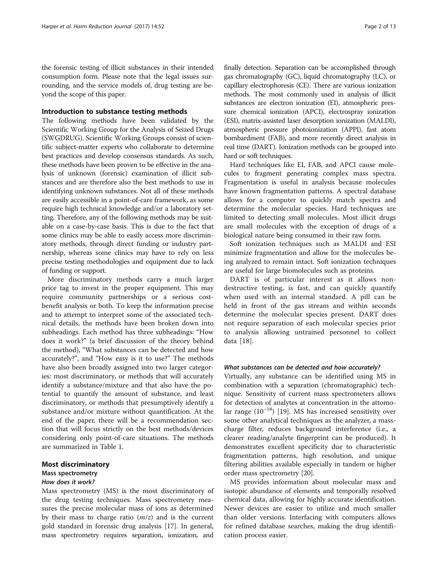the forensic testing of illicit substances in their intended consumption form. Please note that the legal issues surrounding, and the service models of, drug testing are beyond the scope of this paper.

#### Introduction to substance testing methods

The following methods have been validated by the Scientific Working Group for the Analysis of Seized Drugs (SWGDRUG). Scientific Working Groups consist of scientific subject-matter experts who collaborate to determine best practices and develop consensus standards. As such, these methods have been proven to be effective in the analysis of unknown (forensic) examination of illicit substances and are therefore also the best methods to use in identifying unknown substances. Not all of these methods are easily accessible in a point-of-care framework, as some require high technical knowledge and/or a laboratory setting. Therefore, any of the following methods may be suitable on a case-by-case basis. This is due to the fact that some clinics may be able to easily access more discriminatory methods, through direct funding or industry partnership, whereas some clinics may have to rely on less precise testing methodologies and equipment due to lack of funding or support.

More discriminatory methods carry a much larger price tag to invest in the proper equipment. This may require community partnerships or a serious costbenefit analysis or both. To keep the information precise and to attempt to interpret some of the associated technical details, the methods have been broken down into subheadings. Each method has three subheadings: "How does it work?" (a brief discussion of the theory behind the method), "What substances can be detected and how accurately?", and "How easy is it to use?" The methods have also been broadly assigned into two larger categories: most discriminatory, or methods that will accurately identify a substance/mixture and that also have the potential to quantify the amount of substance, and least discriminatory, or methods that presumptively identify a substance and/or mixture without quantification. At the end of the paper, there will be a recommendation section that will focus strictly on the best methods/devices considering only point-of-care situations. The methods are summarized in Table [1.](#page-2-0)

#### Most discriminatory

#### Mass spectrometry

#### How does it work?

Mass spectrometry (MS) is the most discriminatory of the drug testing techniques. Mass spectrometry measures the precise molecular mass of ions as determined by their mass to charge ratio  $(m/z)$  and is the current gold standard in forensic drug analysis [\[17\]](#page-12-0). In general, mass spectrometry requires separation, ionization, and finally detection. Separation can be accomplished through gas chromatography (GC), liquid chromatography (LC), or capillary electrophoresis (CE). There are various ionization methods. The most commonly used in analysis of illicit substances are electron ionization (EI), atmospheric pressure chemical ionization (APCI), electrospray ionization (ESI), matrix-assisted laser desorption ionization (MALDI), atmospheric pressure photoionization (APPI), fast atom bombardment (FAB), and more recently direct analysis in real time (DART). Ionization methods can be grouped into hard or soft techniques.

Hard techniques like EI, FAB, and APCI cause molecules to fragment generating complex mass spectra. Fragmentation is useful in analysis because molecules have known fragmentation patterns. A spectral database allows for a computer to quickly match spectra and determine the molecular species. Hard techniques are limited to detecting small molecules. Most illicit drugs are small molecules with the exception of drugs of a biological nature being consumed in their raw form.

Soft ionization techniques such as MALDI and ESI minimize fragmentation and allow for the molecules being analyzed to remain intact. Soft ionization techniques are useful for large biomolecules such as proteins.

DART is of particular interest as it allows nondestructive testing, is fast, and can quickly quantify when used with an internal standard. A pill can be held in front of the gas stream and within seconds determine the molecular species present. DART does not require separation of each molecular species prior to analysis allowing untrained personnel to collect data [\[18](#page-12-0)].

#### What substances can be detected and how accurately?

Virtually, any substance can be identified using MS in combination with a separation (chromatographic) technique. Sensitivity of current mass spectrometers allows for detection of analytes at concentration in the attomolar range (10<sup>−</sup>18) [\[19](#page-12-0)]. MS has increased sensitivity over some other analytical techniques as the analyzer, a masscharge filter, reduces background interference (i.e., a clearer reading/analyte fingerprint can be produced). It demonstrates excellent specificity due to characteristic fragmentation patterns, high resolution, and unique filtering abilities available especially in tandem or higher order mass spectrometry [[20\]](#page-12-0).

MS provides information about molecular mass and isotopic abundance of elements and temporally resolved chemical data, allowing for highly accurate identification. Newer devices are easier to utilize and much smaller than older versions. Interfacing with computers allows for refined database searches, making the drug identification process easier.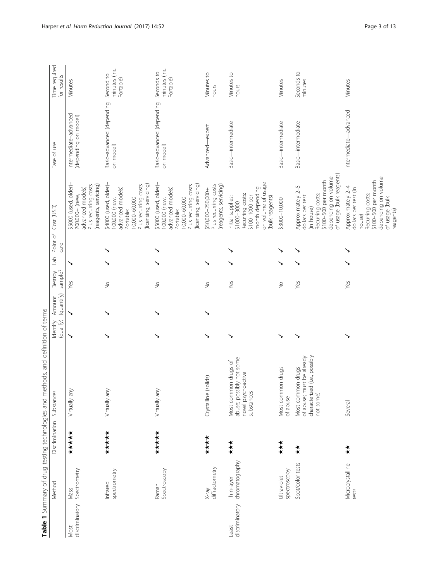<span id="page-2-0"></span>

|                         | Method                       | Discrimination Substances   |                                                                                              | (qualify)<br>Identify | (quantify)<br>Amount | sample?<br>Destroy       | Point of<br>care<br>da | Cost (USD)                                                                                                                                           | Ease of use                                   | Time required<br>for results             |
|-------------------------|------------------------------|-----------------------------|----------------------------------------------------------------------------------------------|-----------------------|----------------------|--------------------------|------------------------|------------------------------------------------------------------------------------------------------------------------------------------------------|-----------------------------------------------|------------------------------------------|
| discriminatory<br>Most  | Mass<br>Spectrometry         | $\star\star\star\star\star$ | δ<br>Virtually                                                                               | ↘                     | ↘                    | Yes                      | ↘                      | \$5000 (used, older)-<br>(reagents, servicing)<br>Plus recurring costs<br>advanced models)<br>200.000+ (new,                                         | Intermediate-advanced<br>(depending on model) | Minutes                                  |
|                         | spectrometry<br>Infrared     | *****                       | Virtually any                                                                                | ↘                     | ↘                    | $\frac{0}{2}$            | ↘<br>↘                 | \$4000 (used, older)-<br>(licensing, servicing)<br>Plus recurring costs<br>advanced models)<br>10,000-60,000<br>100,000 (new,<br>Portable:           | Basic-advanced (depending<br>on model)        | minutes (Inc.<br>Second to<br>Portable)  |
|                         | Spectroscopy<br>Raman        | *****                       | Virtually any                                                                                | ↘                     | ↘                    | $\frac{1}{2}$            | ↘<br>↘                 | \$5000 (used, older)-<br>(licensing, servicing)<br>Plus recurring costs<br>advanced models)<br>10,000-60,000<br>100,000 (new,<br>Portable:           | Basic-advanced (depending<br>on model)        | minutes (Inc.<br>Seconds to<br>Portable) |
|                         | diffractometry<br>$X$ -ray   | $\star\star\star$           | Crystalline (solids)                                                                         | ↘                     | ↘                    | $\frac{1}{2}$            | ゝ                      | Plus recurring costs<br>(reagents, servicing)<br>\$50,000-250,000+                                                                                   | -expert<br>Advanced-                          | Minutes to<br>hours                      |
| discriminatory<br>Least | chromatography<br>Thin-layer | $\star\star$                | abuse; possibly not some<br>Most common drugs of<br>novel psychoactive<br>substances         | ↘                     |                      | Yes                      | ↘<br>↘                 | on volume of usage<br>month depending<br>Recurring costs:<br>\$100-1000 per<br>(bulk reagents)<br>Initial supplies:<br>\$1000-3000                   | Basic-intermediate                            | Minutes to<br>hours                      |
|                         | spectroscopy<br>Ultraviolet  | $\star\star$                | Most common drugs<br>of abuse                                                                | ↘                     |                      | $\stackrel{\circ}{\geq}$ | ↘<br>↘                 | \$3000-10,000                                                                                                                                        | Basic-intermediate                            | Minutes                                  |
|                         | Spot/color tests             | $\star$                     | characterized (i.e., possibly<br>of abuse; must be already<br>Most common drugs<br>not some) | ↘                     |                      | Yes                      | ↘<br>ゝ                 | of usage (bulk reagents)<br>depending on volume<br>\$100-500 per month<br>Approximately 2-5<br>Recurring costs:<br>dollars per test<br>(in house)    | Basic-intermediate                            | Seconds to<br>minutes                    |
|                         | Microcrystalline<br>tests    | $\overset{\bigstar}{\ast}$  | Several                                                                                      | ↘                     |                      | Yes                      | ↘<br>↘                 | depending on volume<br>\$100-500 per month<br>Approximately 2-4<br>dollars per test (in<br>Recurring costs:<br>of usage (bulk<br>reagents)<br>house) | Intermediate-advanced                         | Minutes                                  |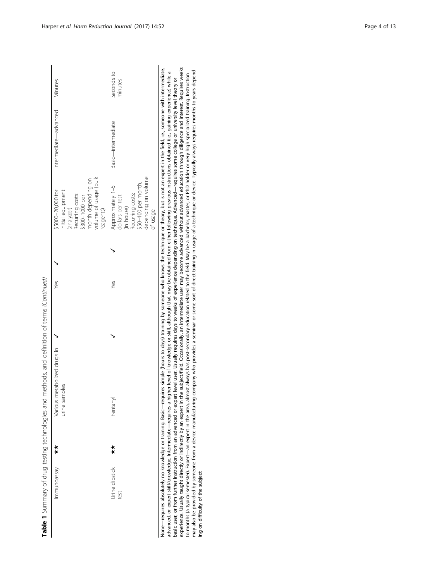|                                                                                                                                                                             | Minutes                                                                                                                                               | Seconds to<br>minutes                                                                                                             |  |
|-----------------------------------------------------------------------------------------------------------------------------------------------------------------------------|-------------------------------------------------------------------------------------------------------------------------------------------------------|-----------------------------------------------------------------------------------------------------------------------------------|--|
|                                                                                                                                                                             | Intermediate-advanced                                                                                                                                 | Basic-intermediate                                                                                                                |  |
|                                                                                                                                                                             | volume of usage (bulk<br>month depending on<br>\$5000-20,000 for<br>nitial equipment<br>(analyzer)<br>Recurring costs:<br>\$300-1000 per<br>reagents) | depending on volume<br>\$50-400 per month,<br>Approximately 1-5<br>Recurring costs:<br>dollars per test<br>(in house)<br>of usage |  |
|                                                                                                                                                                             |                                                                                                                                                       |                                                                                                                                   |  |
|                                                                                                                                                                             | Yes                                                                                                                                                   | Yes                                                                                                                               |  |
| string terms (contribute the same of the same of the same of the same of the same of the context of the context of the same of the same of the same of the same of $\sigma$ |                                                                                                                                                       |                                                                                                                                   |  |
|                                                                                                                                                                             | Various metabolized drugs in<br>urine samples                                                                                                         | Fentanyl                                                                                                                          |  |
|                                                                                                                                                                             |                                                                                                                                                       | $\ast$                                                                                                                            |  |
|                                                                                                                                                                             | <b>KX</b><br>Mumunoassay                                                                                                                              | Urine dipstick<br>test                                                                                                            |  |

athode and dofinition of torme (Continuad) Table 1 Summary of drug testing technologies and methods, and definition of terms (Continued)  $\{$  $\overline{\xi}$ Ŕ J. J, J, Ŕ  $\frac{1}{4}$ .<br>سام Ċ Table 1

experience. Usually taught directly or indirectly by an expert in the subject/field. Occasionally, an intermediate user may become advanced without advanced education through diligence and interest. Requires weeks None—requires absolutely no knowledge or training. Basic—requires simple (hours to days) training by someone who knows the technique or theory, but is not an expert in the field, i.e., someone with intermediate,<br>None—requi experience. Usually taught directly by an expert in the subject/field. Occasionally, an intermediate user may become advanced without advanced education through diligence and interest. Requires weeks may also be provided by someone from a device manufacturing company who provides a seminar or some sort of direct training in usage of a technique or device. Typically always requires months to years depend-None—requires absolutely no knowledge or training. Basic—requires simple (hours to days) training by someone who knows the technique or theory, but is not an expert in the field, i.e., someone with intermediate, may also be provided by someone from a device manufacturing company who provides a seminar or some sort of direct training in usage of a technique or device. Typically always requires months to years dependadvanced, or expert skill/knowledge. Intermediate—requires a higher level of knowledge or skill, although that may be obtained from either following previous instructions obtained (i.e., gaining experience) while a<br>basic u advanced, or expert skill/knowledge. Intermediate—requires a higher level of knowledge or skill, although that may be obtained from either following previous instructions obtained (i.e., gaining experience) while a to months (a typical semester). Expert—an expert in the area, almost almost has post-secondary education related to the field. May be a bachelor, master, or PhD holder or very high specialized training. Instruction to months (a typical semester). Expert—an expert in the area, almost always has post-secondary education related to the field. May be a bachelor, master, or PhD holder or very high specialized training. Instruction basic user, or from further instruction from an advanced or expert level user. Usually requires days to weeks of experience depending on technique. Advanced—requires some college or university level theory or ing on difficulty of the subject ing on difficulty of the subject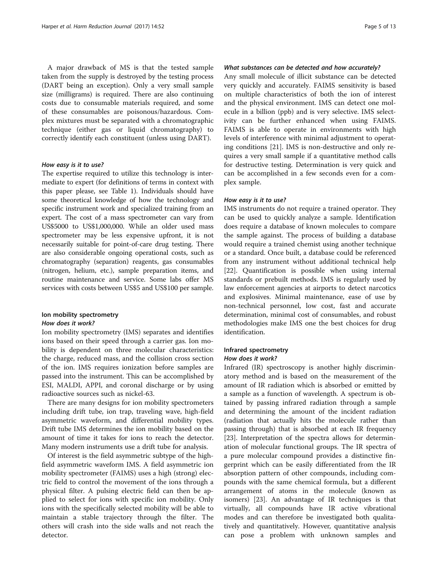A major drawback of MS is that the tested sample taken from the supply is destroyed by the testing process (DART being an exception). Only a very small sample size (milligrams) is required. There are also continuing costs due to consumable materials required, and some of these consumables are poisonous/hazardous. Complex mixtures must be separated with a chromatographic technique (either gas or liquid chromatography) to correctly identify each constituent (unless using DART).

#### How easy is it to use?

The expertise required to utilize this technology is intermediate to expert (for definitions of terms in context with this paper please, see Table [1](#page-2-0)). Individuals should have some theoretical knowledge of how the technology and specific instrument work and specialized training from an expert. The cost of a mass spectrometer can vary from US\$5000 to US\$1,000,000. While an older used mass spectrometer may be less expensive upfront, it is not necessarily suitable for point-of-care drug testing. There are also considerable ongoing operational costs, such as chromatography (separation) reagents, gas consumables (nitrogen, helium, etc.), sample preparation items, and routine maintenance and service. Some labs offer MS services with costs between US\$5 and US\$100 per sample.

#### Ion mobility spectrometry How does it work?

Ion mobility spectrometry (IMS) separates and identifies ions based on their speed through a carrier gas. Ion mobility is dependent on three molecular characteristics: the charge, reduced mass, and the collision cross section of the ion. IMS requires ionization before samples are passed into the instrument. This can be accomplished by ESI, MALDI, APPI, and coronal discharge or by using radioactive sources such as nickel-63.

There are many designs for ion mobility spectrometers including drift tube, ion trap, traveling wave, high-field asymmetric waveform, and differential mobility types. Drift tube IMS determines the ion mobility based on the amount of time it takes for ions to reach the detector. Many modern instruments use a drift tube for analysis.

Of interest is the field asymmetric subtype of the highfield asymmetric waveform IMS. A field asymmetric ion mobility spectrometer (FAIMS) uses a high (strong) electric field to control the movement of the ions through a physical filter. A pulsing electric field can then be applied to select for ions with specific ion mobility. Only ions with the specifically selected mobility will be able to maintain a stable trajectory through the filter. The others will crash into the side walls and not reach the detector.

## What substances can be detected and how accurately?

Any small molecule of illicit substance can be detected very quickly and accurately. FAIMS sensitivity is based on multiple characteristics of both the ion of interest and the physical environment. IMS can detect one molecule in a billion (ppb) and is very selective. IMS selectivity can be further enhanced when using FAIMS. FAIMS is able to operate in environments with high levels of interference with minimal adjustment to operating conditions [\[21](#page-12-0)]. IMS is non-destructive and only requires a very small sample if a quantitative method calls for destructive testing. Determination is very quick and can be accomplished in a few seconds even for a complex sample.

# How easy is it to use?

IMS instruments do not require a trained operator. They can be used to quickly analyze a sample. Identification does require a database of known molecules to compare the sample against. The process of building a database would require a trained chemist using another technique or a standard. Once built, a database could be referenced from any instrument without additional technical help [[22\]](#page-12-0). Quantification is possible when using internal standards or prebuilt methods. IMS is regularly used by law enforcement agencies at airports to detect narcotics and explosives. Minimal maintenance, ease of use by non-technical personnel, low cost, fast and accurate determination, minimal cost of consumables, and robust methodologies make IMS one the best choices for drug identification.

#### Infrared spectrometry

#### How does it work?

Infrared (IR) spectroscopy is another highly discriminatory method and is based on the measurement of the amount of IR radiation which is absorbed or emitted by a sample as a function of wavelength. A spectrum is obtained by passing infrared radiation through a sample and determining the amount of the incident radiation (radiation that actually hits the molecule rather than passing through) that is absorbed at each IR frequency [[23\]](#page-12-0). Interpretation of the spectra allows for determination of molecular functional groups. The IR spectra of a pure molecular compound provides a distinctive fingerprint which can be easily differentiated from the IR absorption pattern of other compounds, including compounds with the same chemical formula, but a different arrangement of atoms in the molecule (known as isomers) [\[23\]](#page-12-0). An advantage of IR techniques is that virtually, all compounds have IR active vibrational modes and can therefore be investigated both qualitatively and quantitatively. However, quantitative analysis can pose a problem with unknown samples and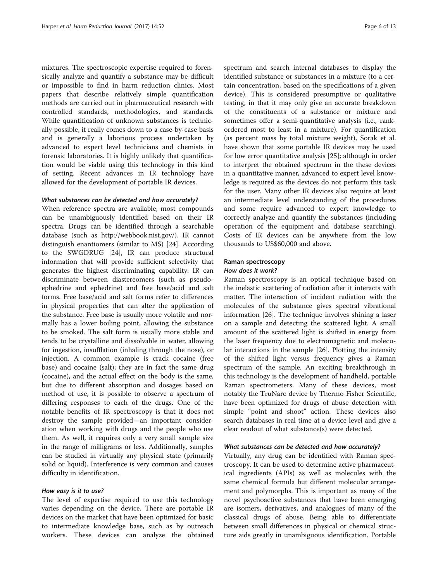mixtures. The spectroscopic expertise required to forensically analyze and quantify a substance may be difficult or impossible to find in harm reduction clinics. Most papers that describe relatively simple quantification methods are carried out in pharmaceutical research with controlled standards, methodologies, and standards. While quantification of unknown substances is technically possible, it really comes down to a case-by-case basis and is generally a laborious process undertaken by advanced to expert level technicians and chemists in forensic laboratories. It is highly unlikely that quantification would be viable using this technology in this kind of setting. Recent advances in IR technology have allowed for the development of portable IR devices.

#### What substances can be detected and how accurately?

When reference spectra are available, most compounds can be unambiguously identified based on their IR spectra. Drugs can be identified through a searchable database (such as [http://webbook.nist.gov/](http://webbook.nist.gov)). IR cannot distinguish enantiomers (similar to MS) [\[24](#page-12-0)]. According to the SWGDRUG [\[24](#page-12-0)], IR can produce structural information that will provide sufficient selectivity that generates the highest discriminating capability. IR can discriminate between diastereomers (such as pseudoephedrine and ephedrine) and free base/acid and salt forms. Free base/acid and salt forms refer to differences in physical properties that can alter the application of the substance. Free base is usually more volatile and normally has a lower boiling point, allowing the substance to be smoked. The salt form is usually more stable and tends to be crystalline and dissolvable in water, allowing for ingestion, insufflation (inhaling through the nose), or injection. A common example is crack cocaine (free base) and cocaine (salt); they are in fact the same drug (cocaine), and the actual effect on the body is the same, but due to different absorption and dosages based on method of use, it is possible to observe a spectrum of differing responses to each of the drugs. One of the notable benefits of IR spectroscopy is that it does not destroy the sample provided—an important consideration when working with drugs and the people who use them. As well, it requires only a very small sample size in the range of milligrams or less. Additionally, samples can be studied in virtually any physical state (primarily solid or liquid). Interference is very common and causes difficulty in identification.

#### How easy is it to use?

The level of expertise required to use this technology varies depending on the device. There are portable IR devices on the market that have been optimized for basic to intermediate knowledge base, such as by outreach workers. These devices can analyze the obtained

spectrum and search internal databases to display the identified substance or substances in a mixture (to a certain concentration, based on the specifications of a given device). This is considered presumptive or qualitative testing, in that it may only give an accurate breakdown of the constituents of a substance or mixture and sometimes offer a semi-quantitative analysis (i.e., rankordered most to least in a mixture). For quantification (as percent mass by total mixture weight), Sorak et al. have shown that some portable IR devices may be used for low error quantitative analysis [[25\]](#page-12-0); although in order to interpret the obtained spectrum in the these devices in a quantitative manner, advanced to expert level knowledge is required as the devices do not perform this task for the user. Many other IR devices also require at least an intermediate level understanding of the procedures and some require advanced to expert knowledge to correctly analyze and quantify the substances (including operation of the equipment and database searching). Costs of IR devices can be anywhere from the low thousands to US\$60,000 and above.

#### Raman spectroscopy

#### How does it work?

Raman spectroscopy is an optical technique based on the inelastic scattering of radiation after it interacts with matter. The interaction of incident radiation with the molecules of the substance gives spectral vibrational information [[26\]](#page-12-0). The technique involves shining a laser on a sample and detecting the scattered light. A small amount of the scattered light is shifted in energy from the laser frequency due to electromagnetic and molecular interactions in the sample [\[26\]](#page-12-0). Plotting the intensity of the shifted light versus frequency gives a Raman spectrum of the sample. An exciting breakthrough in this technology is the development of handheld, portable Raman spectrometers. Many of these devices, most notably the TruNarc device by Thermo Fisher Scientific, have been optimized for drugs of abuse detection with simple "point and shoot" action. These devices also search databases in real time at a device level and give a clear readout of what substance(s) were detected.

#### What substances can be detected and how accurately?

Virtually, any drug can be identified with Raman spectroscopy. It can be used to determine active pharmaceutical ingredients (APIs) as well as molecules with the same chemical formula but different molecular arrangement and polymorphs. This is important as many of the novel psychoactive substances that have been emerging are isomers, derivatives, and analogues of many of the classical drugs of abuse. Being able to differentiate between small differences in physical or chemical structure aids greatly in unambiguous identification. Portable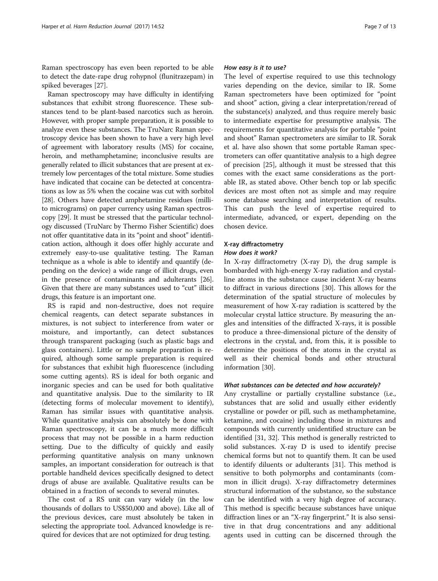Raman spectroscopy has even been reported to be able to detect the date-rape drug rohypnol (flunitrazepam) in spiked beverages [\[27](#page-12-0)].

Raman spectroscopy may have difficulty in identifying substances that exhibit strong fluorescence. These substances tend to be plant-based narcotics such as heroin. However, with proper sample preparation, it is possible to analyze even these substances. The TruNarc Raman spectroscopy device has been shown to have a very high level of agreement with laboratory results (MS) for cocaine, heroin, and methamphetamine; inconclusive results are generally related to illicit substances that are present at extremely low percentages of the total mixture. Some studies have indicated that cocaine can be detected at concentrations as low as 5% when the cocaine was cut with sorbitol [[28](#page-12-0)]. Others have detected amphetamine residues (millito micrograms) on paper currency using Raman spectroscopy [[29\]](#page-12-0). It must be stressed that the particular technology discussed (TruNarc by Thermo Fisher Scientific) does not offer quantitative data in its "point and shoot" identification action, although it does offer highly accurate and extremely easy-to-use qualitative testing. The Raman technique as a whole is able to identify and quantify (depending on the device) a wide range of illicit drugs, even in the presence of contaminants and adulterants [[26](#page-12-0)]. Given that there are many substances used to "cut" illicit drugs, this feature is an important one.

RS is rapid and non-destructive, does not require chemical reagents, can detect separate substances in mixtures, is not subject to interference from water or moisture, and importantly, can detect substances through transparent packaging (such as plastic bags and glass containers). Little or no sample preparation is required, although some sample preparation is required for substances that exhibit high fluorescence (including some cutting agents). RS is ideal for both organic and inorganic species and can be used for both qualitative and quantitative analysis. Due to the similarity to IR (detecting forms of molecular movement to identify), Raman has similar issues with quantitative analysis. While quantitative analysis can absolutely be done with Raman spectroscopy, it can be a much more difficult process that may not be possible in a harm reduction setting. Due to the difficulty of quickly and easily performing quantitative analysis on many unknown samples, an important consideration for outreach is that portable handheld devices specifically designed to detect drugs of abuse are available. Qualitative results can be obtained in a fraction of seconds to several minutes.

The cost of a RS unit can vary widely (in the low thousands of dollars to US\$50,000 and above). Like all of the previous devices, care must absolutely be taken in selecting the appropriate tool. Advanced knowledge is required for devices that are not optimized for drug testing.

#### How easy is it to use?

The level of expertise required to use this technology varies depending on the device, similar to IR. Some Raman spectrometers have been optimized for "point and shoot" action, giving a clear interpretation/reread of the substance(s) analyzed, and thus require merely basic to intermediate expertise for presumptive analysis. The requirements for quantitative analysis for portable "point and shoot" Raman spectrometers are similar to IR. Sorak et al. have also shown that some portable Raman spectrometers can offer quantitative analysis to a high degree of precision [[25\]](#page-12-0), although it must be stressed that this comes with the exact same considerations as the portable IR, as stated above. Other bench top or lab specific devices are most often not as simple and may require some database searching and interpretation of results. This can push the level of expertise required to intermediate, advanced, or expert, depending on the chosen device.

# X-ray diffractometry

#### How does it work?

In X-ray diffractometry (X-ray D), the drug sample is bombarded with high-energy X-ray radiation and crystalline atoms in the substance cause incident X-ray beams to diffract in various directions [\[30\]](#page-12-0). This allows for the determination of the spatial structure of molecules by measurement of how X-ray radiation is scattered by the molecular crystal lattice structure. By measuring the angles and intensities of the diffracted X-rays, it is possible to produce a three-dimensional picture of the density of electrons in the crystal, and, from this, it is possible to determine the positions of the atoms in the crystal as well as their chemical bonds and other structural information [\[30](#page-12-0)].

#### What substances can be detected and how accurately?

Any crystalline or partially crystalline substance (i.e., substances that are solid and usually either evidently crystalline or powder or pill, such as methamphetamine, ketamine, and cocaine) including those in mixtures and compounds with currently unidentified structure can be identified [[31](#page-12-0), [32\]](#page-12-0). This method is generally restricted to solid substances. X-ray D is used to identify precise chemical forms but not to quantify them. It can be used to identify diluents or adulterants [[31\]](#page-12-0). This method is sensitive to both polymorphs and contaminants (common in illicit drugs). X-ray diffractometry determines structural information of the substance, so the substance can be identified with a very high degree of accuracy. This method is specific because substances have unique diffraction lines or an "X-ray fingerprint." It is also sensitive in that drug concentrations and any additional agents used in cutting can be discerned through the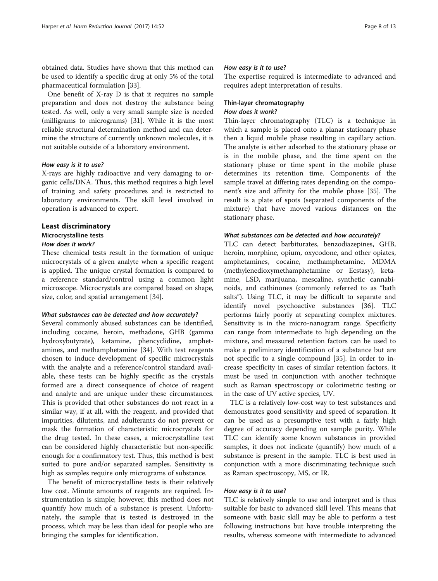obtained data. Studies have shown that this method can be used to identify a specific drug at only 5% of the total pharmaceutical formulation [\[33](#page-12-0)].

One benefit of X-ray D is that it requires no sample preparation and does not destroy the substance being tested. As well, only a very small sample size is needed (milligrams to micrograms) [[31\]](#page-12-0). While it is the most reliable structural determination method and can determine the structure of currently unknown molecules, it is not suitable outside of a laboratory environment.

#### How easy is it to use?

X-rays are highly radioactive and very damaging to organic cells/DNA. Thus, this method requires a high level of training and safety procedures and is restricted to laboratory environments. The skill level involved in operation is advanced to expert.

#### Least discriminatory

#### Microcrystalline tests

#### How does it work?

These chemical tests result in the formation of unique microcrystals of a given analyte when a specific reagent is applied. The unique crystal formation is compared to a reference standard/control using a common light microscope. Microcrystals are compared based on shape, size, color, and spatial arrangement [\[34\]](#page-12-0).

#### What substances can be detected and how accurately?

Several commonly abused substances can be identified, including cocaine, heroin, methadone, GHB (gamma hydroxybutyrate), ketamine, phencyclidine, amphetamines, and methamphetamine [\[34](#page-12-0)]. With test reagents chosen to induce development of specific microcrystals with the analyte and a reference/control standard available, these tests can be highly specific as the crystals formed are a direct consequence of choice of reagent and analyte and are unique under these circumstances. This is provided that other substances do not react in a similar way, if at all, with the reagent, and provided that impurities, dilutents, and adulterants do not prevent or mask the formation of characteristic microcrystals for the drug tested. In these cases, a microcrystalline test can be considered highly characteristic but non-specific enough for a confirmatory test. Thus, this method is best suited to pure and/or separated samples. Sensitivity is high as samples require only micrograms of substance.

The benefit of microcrystalline tests is their relatively low cost. Minute amounts of reagents are required. Instrumentation is simple; however, this method does not quantify how much of a substance is present. Unfortunately, the sample that is tested is destroyed in the process, which may be less than ideal for people who are bringing the samples for identification.

#### How easy is it to use?

The expertise required is intermediate to advanced and requires adept interpretation of results.

#### Thin-layer chromatography

#### How does it work?

Thin-layer chromatography (TLC) is a technique in which a sample is placed onto a planar stationary phase then a liquid mobile phase resulting in capillary action. The analyte is either adsorbed to the stationary phase or is in the mobile phase, and the time spent on the stationary phase or time spent in the mobile phase determines its retention time. Components of the sample travel at differing rates depending on the component's size and affinity for the mobile phase [[35](#page-12-0)]. The result is a plate of spots (separated components of the mixture) that have moved various distances on the stationary phase.

#### What substances can be detected and how accurately?

TLC can detect barbiturates, benzodiazepines, GHB, heroin, morphine, opium, oxycodone, and other opiates, amphetamines, cocaine, methamphetamine, MDMA (methylenedioxymethamphetamine or Ecstasy), ketamine, LSD, marijuana, mescaline, synthetic cannabinoids, and cathinones (commonly referred to as "bath salts"). Using TLC, it may be difficult to separate and identify novel psychoactive substances [[36\]](#page-12-0). TLC performs fairly poorly at separating complex mixtures. Sensitivity is in the micro-nanogram range. Specificity can range from intermediate to high depending on the mixture, and measured retention factors can be used to make a preliminary identification of a substance but are not specific to a single compound [[35](#page-12-0)]. In order to increase specificity in cases of similar retention factors, it must be used in conjunction with another technique such as Raman spectroscopy or colorimetric testing or in the case of UV active species, UV.

TLC is a relatively low-cost way to test substances and demonstrates good sensitivity and speed of separation. It can be used as a presumptive test with a fairly high degree of accuracy depending on sample purity. While TLC can identify some known substances in provided samples, it does not indicate (quantify) how much of a substance is present in the sample. TLC is best used in conjunction with a more discriminating technique such as Raman spectroscopy, MS, or IR.

#### How easy is it to use?

TLC is relatively simple to use and interpret and is thus suitable for basic to advanced skill level. This means that someone with basic skill may be able to perform a test following instructions but have trouble interpreting the results, whereas someone with intermediate to advanced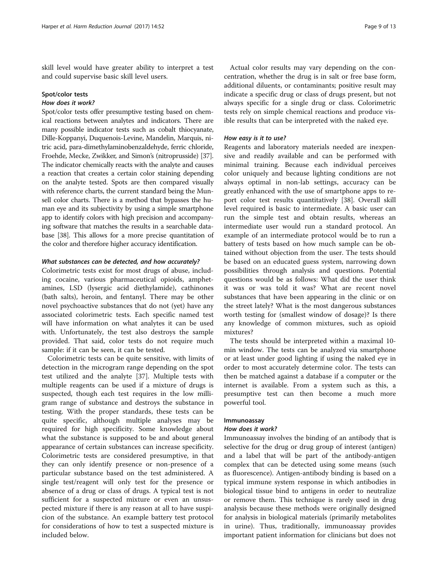skill level would have greater ability to interpret a test and could supervise basic skill level users.

#### Spot/color tests

#### How does it work?

Spot/color tests offer presumptive testing based on chemical reactions between analytes and indicators. There are many possible indicator tests such as cobalt thiocyanate, Dille-Koppanyi, Duquenois-Levine, Mandelin, Marquis, nitric acid, para-dimethylaminobenzaldehyde, ferric chloride, Froehde, Mecke, Zwikker, and Simon's (nitroprusside) [[37](#page-12-0)]. The indicator chemically reacts with the analyte and causes a reaction that creates a certain color staining depending on the analyte tested. Spots are then compared visually with reference charts, the current standard being the Munsell color charts. There is a method that bypasses the human eye and its subjectivity by using a simple smartphone app to identify colors with high precision and accompanying software that matches the results in a searchable database [\[38\]](#page-12-0). This allows for a more precise quantitation of the color and therefore higher accuracy identification.

#### What substances can be detected, and how accurately?

Colorimetric tests exist for most drugs of abuse, including cocaine, various pharmaceutical opioids, amphetamines, LSD (lysergic acid diethylamide), cathinones (bath salts), heroin, and fentanyl. There may be other novel psychoactive substances that do not (yet) have any associated colorimetric tests. Each specific named test will have information on what analytes it can be used with. Unfortunately, the test also destroys the sample provided. That said, color tests do not require much sample: if it can be seen, it can be tested.

Colorimetric tests can be quite sensitive, with limits of detection in the microgram range depending on the spot test utilized and the analyte [\[37\]](#page-12-0). Multiple tests with multiple reagents can be used if a mixture of drugs is suspected, though each test requires in the low milligram range of substance and destroys the substance in testing. With the proper standards, these tests can be quite specific, although multiple analyses may be required for high specificity. Some knowledge about what the substance is supposed to be and about general appearance of certain substances can increase specificity. Colorimetric tests are considered presumptive, in that they can only identify presence or non-presence of a particular substance based on the test administered. A single test/reagent will only test for the presence or absence of a drug or class of drugs. A typical test is not sufficient for a suspected mixture or even an unsuspected mixture if there is any reason at all to have suspicion of the substance. An example battery test protocol for considerations of how to test a suspected mixture is included below.

Actual color results may vary depending on the concentration, whether the drug is in salt or free base form, additional diluents, or contaminants; positive result may indicate a specific drug or class of drugs present, but not always specific for a single drug or class. Colorimetric tests rely on simple chemical reactions and produce visible results that can be interpreted with the naked eye.

#### How easy is it to use?

Reagents and laboratory materials needed are inexpensive and readily available and can be performed with minimal training. Because each individual perceives color uniquely and because lighting conditions are not always optimal in non-lab settings, accuracy can be greatly enhanced with the use of smartphone apps to report color test results quantitatively [\[38](#page-12-0)]. Overall skill level required is basic to intermediate. A basic user can run the simple test and obtain results, whereas an intermediate user would run a standard protocol. An example of an intermediate protocol would be to run a battery of tests based on how much sample can be obtained without objection from the user. The tests should be based on an educated guess system, narrowing down possibilities through analysis and questions. Potential questions would be as follows: What did the user think it was or was told it was? What are recent novel substances that have been appearing in the clinic or on the street lately? What is the most dangerous substances worth testing for (smallest window of dosage)? Is there any knowledge of common mixtures, such as opioid mixtures?

The tests should be interpreted within a maximal 10 min window. The tests can be analyzed via smartphone or at least under good lighting if using the naked eye in order to most accurately determine color. The tests can then be matched against a database if a computer or the internet is available. From a system such as this, a presumptive test can then become a much more powerful tool.

#### Immunoassay

#### How does it work?

Immunoassay involves the binding of an antibody that is selective for the drug or drug group of interest (antigen) and a label that will be part of the antibody-antigen complex that can be detected using some means (such as fluorescence). Antigen-antibody binding is based on a typical immune system response in which antibodies in biological tissue bind to antigens in order to neutralize or remove them. This technique is rarely used in drug analysis because these methods were originally designed for analysis in biological materials (primarily metabolites in urine). Thus, traditionally, immunoassay provides important patient information for clinicians but does not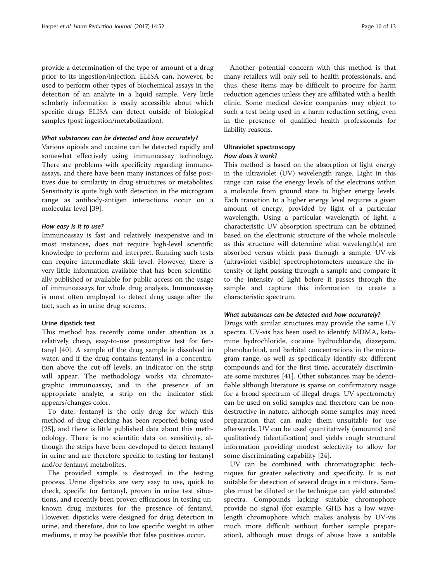provide a determination of the type or amount of a drug prior to its ingestion/injection. ELISA can, however, be used to perform other types of biochemical assays in the detection of an analyte in a liquid sample. Very little scholarly information is easily accessible about which specific drugs ELISA can detect outside of biological samples (post ingestion/metabolization).

#### What substances can be detected and how accurately?

Various opioids and cocaine can be detected rapidly and somewhat effectively using immunoassay technology. There are problems with specificity regarding immunoassays, and there have been many instances of false positives due to similarity in drug structures or metabolites. Sensitivity is quite high with detection in the microgram range as antibody-antigen interactions occur on a molecular level [[39\]](#page-12-0).

#### How easy is it to use?

Immunoassay is fast and relatively inexpensive and in most instances, does not require high-level scientific knowledge to perform and interpret. Running such tests can require intermediate skill level. However, there is very little information available that has been scientifically published or available for public access on the usage of immunoassays for whole drug analysis. Immunoassay is most often employed to detect drug usage after the fact, such as in urine drug screens.

#### Urine dipstick test

This method has recently come under attention as a relatively cheap, easy-to-use presumptive test for fentanyl [[40\]](#page-12-0). A sample of the drug sample is dissolved in water, and if the drug contains fentanyl in a concentration above the cut-off levels, an indicator on the strip will appear. The methodology works via chromatographic immunoassay, and in the presence of an appropriate analyte, a strip on the indicator stick appears/changes color.

To date, fentanyl is the only drug for which this method of drug checking has been reported being used [[25\]](#page-12-0), and there is little published data about this methodology. There is no scientific data on sensitivity, although the strips have been developed to detect fentanyl in urine and are therefore specific to testing for fentanyl and/or fentanyl metabolites.

The provided sample is destroyed in the testing process. Urine dipsticks are very easy to use, quick to check, specific for fentanyl, proven in urine test situations, and recently been proven efficacious in testing unknown drug mixtures for the presence of fentanyl. However, dipsticks were designed for drug detection in urine, and therefore, due to low specific weight in other mediums, it may be possible that false positives occur.

Another potential concern with this method is that many retailers will only sell to health professionals, and thus, these items may be difficult to procure for harm reduction agencies unless they are affiliated with a health clinic. Some medical device companies may object to such a test being used in a harm reduction setting, even in the presence of qualified health professionals for liability reasons.

#### Ultraviolet spectroscopy How does it work?

This method is based on the absorption of light energy in the ultraviolet (UV) wavelength range. Light in this range can raise the energy levels of the electrons within a molecule from ground state to higher energy levels. Each transition to a higher energy level requires a given amount of energy, provided by light of a particular wavelength. Using a particular wavelength of light, a characteristic UV absorption spectrum can be obtained based on the electronic structure of the whole molecule as this structure will determine what wavelength(s) are absorbed versus which pass through a sample. UV-vis (ultraviolet visible) spectrophotometers measure the intensity of light passing through a sample and compare it to the intensity of light before it passes through the sample and capture this information to create a characteristic spectrum.

#### What substances can be detected and how accurately?

Drugs with similar structures may provide the same UV spectra. UV-vis has been used to identify MDMA, ketamine hydrochloride, cocaine hydrochloride, diazepam, phenobarbital, and barbital concentrations in the microgram range, as well as specifically identify six different compounds and for the first time, accurately discriminate some mixtures [[41](#page-12-0)]. Other substances may be identifiable although literature is sparse on confirmatory usage for a broad spectrum of illegal drugs. UV spectrometry can be used on solid samples and therefore can be nondestructive in nature, although some samples may need preparation that can make them unsuitable for use afterwards. UV can be used quantitatively (amounts) and qualitatively (identification) and yields rough structural information providing modest selectivity to allow for some discriminating capability [[24](#page-12-0)].

UV can be combined with chromatographic techniques for greater selectivity and specificity. It is not suitable for detection of several drugs in a mixture. Samples must be diluted or the technique can yield saturated spectra. Compounds lacking suitable chromophore provide no signal (for example, GHB has a low wavelength chromophore which makes analysis by UV-vis much more difficult without further sample preparation), although most drugs of abuse have a suitable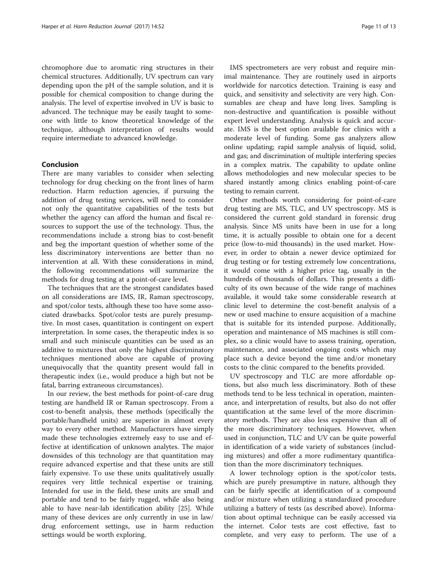chromophore due to aromatic ring structures in their chemical structures. Additionally, UV spectrum can vary depending upon the pH of the sample solution, and it is possible for chemical composition to change during the analysis. The level of expertise involved in UV is basic to advanced. The technique may be easily taught to someone with little to know theoretical knowledge of the technique, although interpretation of results would require intermediate to advanced knowledge.

#### Conclusion

There are many variables to consider when selecting technology for drug checking on the front lines of harm reduction. Harm reduction agencies, if pursuing the addition of drug testing services, will need to consider not only the quantitative capabilities of the tests but whether the agency can afford the human and fiscal resources to support the use of the technology. Thus, the recommendations include a strong bias to cost-benefit and beg the important question of whether some of the less discriminatory interventions are better than no intervention at all. With these considerations in mind, the following recommendations will summarize the methods for drug testing at a point-of-care level.

The techniques that are the strongest candidates based on all considerations are IMS, IR, Raman spectroscopy, and spot/color tests, although these too have some associated drawbacks. Spot/color tests are purely presumptive. In most cases, quantitation is contingent on expert interpretation. In some cases, the therapeutic index is so small and such miniscule quantities can be used as an additive to mixtures that only the highest discriminatory techniques mentioned above are capable of proving unequivocally that the quantity present would fall in therapeutic index (i.e., would produce a high but not be fatal, barring extraneous circumstances).

In our review, the best methods for point-of-care drug testing are handheld IR or Raman spectroscopy. From a cost-to-benefit analysis, these methods (specifically the portable/handheld units) are superior in almost every way to every other method. Manufacturers have simply made these technologies extremely easy to use and effective at identification of unknown analytes. The major downsides of this technology are that quantitation may require advanced expertise and that these units are still fairly expensive. To use these units qualitatively usually requires very little technical expertise or training. Intended for use in the field, these units are small and portable and tend to be fairly rugged, while also being able to have near-lab identification ability [[25](#page-12-0)]. While many of these devices are only currently in use in law/ drug enforcement settings, use in harm reduction settings would be worth exploring.

IMS spectrometers are very robust and require minimal maintenance. They are routinely used in airports worldwide for narcotics detection. Training is easy and quick, and sensitivity and selectivity are very high. Consumables are cheap and have long lives. Sampling is non-destructive and quantification is possible without expert level understanding. Analysis is quick and accurate. IMS is the best option available for clinics with a moderate level of funding. Some gas analyzers allow online updating; rapid sample analysis of liquid, solid, and gas; and discrimination of multiple interfering species in a complex matrix. The capability to update online allows methodologies and new molecular species to be shared instantly among clinics enabling point-of-care testing to remain current.

Other methods worth considering for point-of-care drug testing are MS, TLC, and UV spectroscopy. MS is considered the current gold standard in forensic drug analysis. Since MS units have been in use for a long time, it is actually possible to obtain one for a decent price (low-to-mid thousands) in the used market. However, in order to obtain a newer device optimized for drug testing or for testing extremely low concentrations, it would come with a higher price tag, usually in the hundreds of thousands of dollars. This presents a difficulty of its own because of the wide range of machines available, it would take some considerable research at clinic level to determine the cost-benefit analysis of a new or used machine to ensure acquisition of a machine that is suitable for its intended purpose. Additionally, operation and maintenance of MS machines is still complex, so a clinic would have to assess training, operation, maintenance, and associated ongoing costs which may place such a device beyond the time and/or monetary costs to the clinic compared to the benefits provided.

UV spectroscopy and TLC are more affordable options, but also much less discriminatory. Both of these methods tend to be less technical in operation, maintenance, and interpretation of results, but also do not offer quantification at the same level of the more discriminatory methods. They are also less expensive than all of the more discriminatory techniques. However, when used in conjunction, TLC and UV can be quite powerful in identification of a wide variety of substances (including mixtures) and offer a more rudimentary quantification than the more discriminatory techniques.

A lower technology option is the spot/color tests, which are purely presumptive in nature, although they can be fairly specific at identification of a compound and/or mixture when utilizing a standardized procedure utilizing a battery of tests (as described above). Information about optimal technique can be easily accessed via the internet. Color tests are cost effective, fast to complete, and very easy to perform. The use of a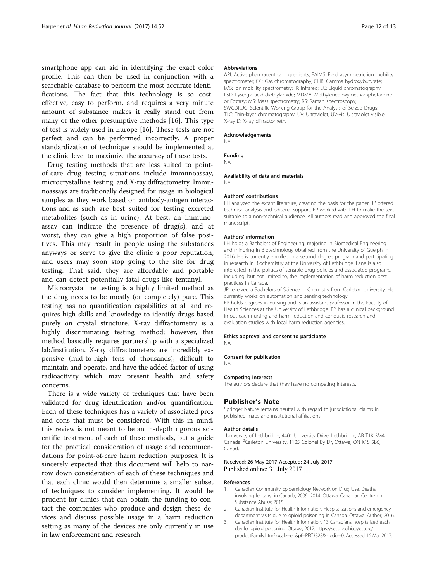<span id="page-11-0"></span>smartphone app can aid in identifying the exact color profile. This can then be used in conjunction with a searchable database to perform the most accurate identifications. The fact that this technology is so costeffective, easy to perform, and requires a very minute amount of substance makes it really stand out from many of the other presumptive methods [[16\]](#page-12-0). This type of test is widely used in Europe [\[16](#page-12-0)]. These tests are not perfect and can be performed incorrectly. A proper standardization of technique should be implemented at the clinic level to maximize the accuracy of these tests.

Drug testing methods that are less suited to pointof-care drug testing situations include immunoassay, microcrystalline testing, and X-ray diffractometry. Immunoassays are traditionally designed for usage in biological samples as they work based on antibody-antigen interactions and as such are best suited for testing excreted metabolites (such as in urine). At best, an immunoassay can indicate the presence of drug(s), and at worst, they can give a high proportion of false positives. This may result in people using the substances anyways or serve to give the clinic a poor reputation, and users may soon stop going to the site for drug testing. That said, they are affordable and portable and can detect potentially fatal drugs like fentanyl.

Microcrystalline testing is a highly limited method as the drug needs to be mostly (or completely) pure. This testing has no quantification capabilities at all and requires high skills and knowledge to identify drugs based purely on crystal structure. X-ray diffractometry is a highly discriminating testing method; however, this method basically requires partnership with a specialized lab/institution. X-ray diffractometers are incredibly expensive (mid-to-high tens of thousands), difficult to maintain and operate, and have the added factor of using radioactivity which may present health and safety concerns.

There is a wide variety of techniques that have been validated for drug identification and/or quantification. Each of these techniques has a variety of associated pros and cons that must be considered. With this in mind, this review is not meant to be an in-depth rigorous scientific treatment of each of these methods, but a guide for the practical consideration of usage and recommendations for point-of-care harm reduction purposes. It is sincerely expected that this document will help to narrow down consideration of each of these techniques and that each clinic would then determine a smaller subset of techniques to consider implementing. It would be prudent for clinics that can obtain the funding to contact the companies who produce and design these devices and discuss possible usage in a harm reduction setting as many of the devices are only currently in use in law enforcement and research.

#### Abbreviations

API: Active pharmaceutical ingredients; FAIMS: Field asymmetric ion mobility spectrometer; GC: Gas chromatography; GHB: Gamma hydroxybutyrate; IMS: Ion mobility spectrometry; IR: Infrared; LC: Liquid chromatography; LSD: Lysergic acid diethylamide; MDMA: Methylenedioxymethamphetamine or Ecstasy; MS: Mass spectrometry; RS: Raman spectroscopy; SWGDRUG: Scientific Working Group for the Analysis of Seized Drugs; TLC: Thin-layer chromatography; UV: Ultraviolet; UV-vis: Ultraviolet visible; X-ray D: X-ray diffractometry

#### Acknowledgements

Funding NA

NA

#### Availability of data and materials

NA

#### Authors' contributions

LH analyzed the extant literature, creating the basis for the paper. JP offered technical analysis and editorial support. EP worked with LH to make the text suitable to a non-technical audience. All authors read and approved the final manuscript.

#### Authors' information

LH holds a Bachelors of Engineering, majoring in Biomedical Engineering and minoring in Biotechnology obtained from the University of Guelph in 2016. He is currently enrolled in a second degree program and participating in research in Biochemistry at the University of Lethbridge. Lane is also interested in the politics of sensible drug policies and associated programs, including, but not limited to, the implementation of harm reduction best practices in Canada.

JP received a Bachelors of Science in Chemistry from Carleton University. He currently works on automation and sensing technology.

EP holds degrees in nursing and is an assistant professor in the Faculty of Health Sciences at the University of Lethbridge. EP has a clinical background in outreach nursing and harm reduction and conducts research and evaluation studies with local harm reduction agencies.

#### Ethics approval and consent to participate

NA

#### Consent for publication

NA

#### Competing interests

The authors declare that they have no competing interests.

#### Publisher's Note

Springer Nature remains neutral with regard to jurisdictional claims in published maps and institutional affiliations.

#### Author details

<sup>1</sup>University of Lethbridge, 4401 University Drive, Lethbridge, AB T1K 3M4, Canada. <sup>2</sup>Carleton University, 1125 Colonel By Dr, Ottawa, ON K1S 5B6 Canada.

#### Received: 26 May 2017 Accepted: 24 July 2017 Published online: 31 July 2017

#### References

- 1. Canadian Community Epidemiology Network on Drug Use. Deaths involving fentanyl in Canada, 2009–2014. Ottawa: Canadian Centre on Substance Abuse; 2015.
- 2. Canadian Institute for Health Information. Hospitalizations and emergency department visits due to opioid poisoning in Canada. Ottawa: Author; 2016.
- 3. Canadian Institute for Health Information. 13 Canadians hospitalized each day for opioid poisoning. Ottawa; 2017. [https://secure.cihi.ca/estore/](https://secure.cihi.ca/estore/productFamily.htm?locale=en&pf=PFC3328&media=0) [productFamily.htm?locale=en&pf=PFC3328&media=0.](https://secure.cihi.ca/estore/productFamily.htm?locale=en&pf=PFC3328&media=0) Accessed 16 Mar 2017.